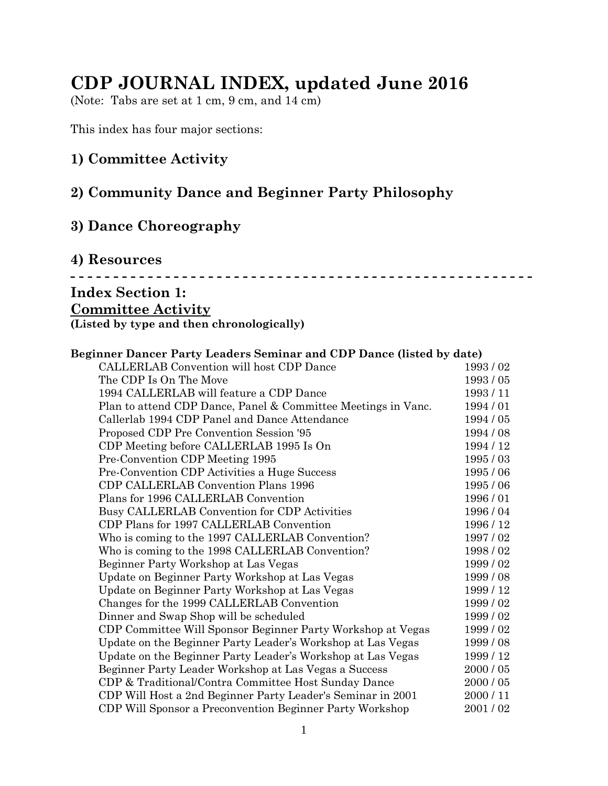# **CDP JOURNAL INDEX, updated June 2016**

(Note: Tabs are set at 1 cm, 9 cm, and 14 cm)

This index has four major sections:

#### **1) Committee Activity**

## **2) Community Dance and Beginner Party Philosophy**

## **3) Dance Choreography**

#### **4) Resources**

#### **- - - - - - - - - - - - - - - - - - - - - - - - - - - - - - - - - - - - - - - - - - - - - - - - - - - - - -**

## **Index Section 1:**

#### **Committee Activity**

**(Listed by type and then chronologically)**

#### **Beginner Dancer Party Leaders Seminar and CDP Dance (listed by date)**

| CALLERLAB Convention will host CDP Dance                      | 1993/02   |
|---------------------------------------------------------------|-----------|
| The CDP Is On The Move                                        | 1993/05   |
| 1994 CALLERLAB will feature a CDP Dance                       | 1993/11   |
| Plan to attend CDP Dance, Panel & Committee Meetings in Vanc. | 1994/01   |
| Callerlab 1994 CDP Panel and Dance Attendance                 | 1994 / 05 |
| Proposed CDP Pre Convention Session '95                       | 1994/08   |
| CDP Meeting before CALLERLAB 1995 Is On                       | 1994 / 12 |
| Pre-Convention CDP Meeting 1995                               | 1995/03   |
| Pre-Convention CDP Activities a Huge Success                  | 1995/06   |
| CDP CALLERLAB Convention Plans 1996                           | 1995/06   |
| Plans for 1996 CALLERLAB Convention                           | 1996/01   |
| Busy CALLERLAB Convention for CDP Activities                  | 1996/04   |
| CDP Plans for 1997 CALLERLAB Convention                       | 1996 / 12 |
| Who is coming to the 1997 CALLERLAB Convention?               | 1997/02   |
| Who is coming to the 1998 CALLERLAB Convention?               | 1998/02   |
| Beginner Party Workshop at Las Vegas                          | 1999/02   |
| Update on Beginner Party Workshop at Las Vegas                | 1999/08   |
| Update on Beginner Party Workshop at Las Vegas                | 1999/12   |
| Changes for the 1999 CALLERLAB Convention                     | 1999/02   |
| Dinner and Swap Shop will be scheduled                        | 1999/02   |
| CDP Committee Will Sponsor Beginner Party Workshop at Vegas   | 1999/02   |
| Update on the Beginner Party Leader's Workshop at Las Vegas   | 1999/08   |
| Update on the Beginner Party Leader's Workshop at Las Vegas   | 1999 / 12 |
| Beginner Party Leader Workshop at Las Vegas a Success         | 2000 / 05 |
| CDP & Traditional/Contra Committee Host Sunday Dance          | 2000 / 05 |
| CDP Will Host a 2nd Beginner Party Leader's Seminar in 2001   | 2000/11   |
| CDP Will Sponsor a Preconvention Beginner Party Workshop      | 2001/02   |
|                                                               |           |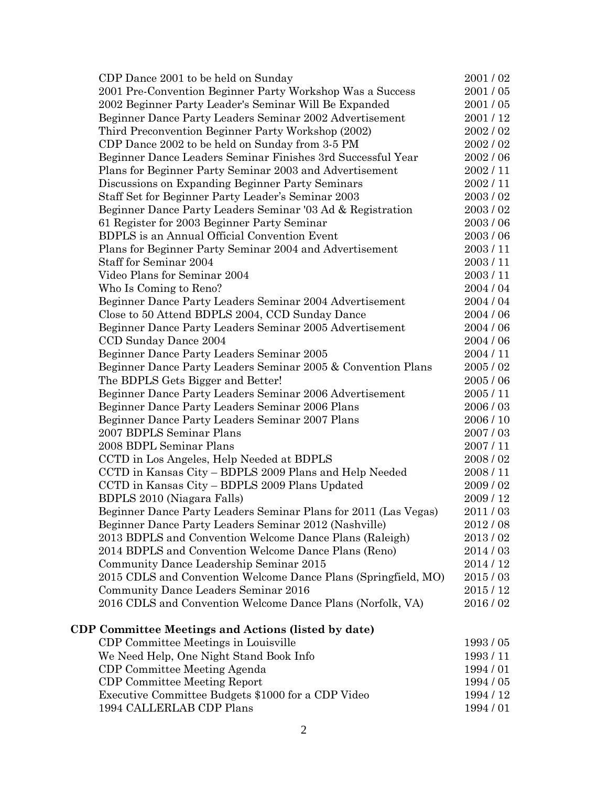| CDP Dance 2001 to be held on Sunday                             | 2001/02   |
|-----------------------------------------------------------------|-----------|
| 2001 Pre-Convention Beginner Party Workshop Was a Success       | 2001/05   |
| 2002 Beginner Party Leader's Seminar Will Be Expanded           | 2001/05   |
| Beginner Dance Party Leaders Seminar 2002 Advertisement         | 2001 / 12 |
| Third Preconvention Beginner Party Workshop (2002)              | 2002/02   |
| CDP Dance 2002 to be held on Sunday from 3-5 PM                 | 2002/02   |
| Beginner Dance Leaders Seminar Finishes 3rd Successful Year     | 2002/06   |
| Plans for Beginner Party Seminar 2003 and Advertisement         | 2002/11   |
| Discussions on Expanding Beginner Party Seminars                | 2002/11   |
| Staff Set for Beginner Party Leader's Seminar 2003              | 2003/02   |
| Beginner Dance Party Leaders Seminar '03 Ad & Registration      | 2003/02   |
| 61 Register for 2003 Beginner Party Seminar                     | 2003/06   |
| <b>BDPLS</b> is an Annual Official Convention Event             | 2003/06   |
| Plans for Beginner Party Seminar 2004 and Advertisement         | 2003/11   |
| Staff for Seminar 2004                                          | 2003/11   |
| Video Plans for Seminar 2004                                    | 2003/11   |
| Who Is Coming to Reno?                                          | 2004 / 04 |
| Beginner Dance Party Leaders Seminar 2004 Advertisement         | 2004 / 04 |
| Close to 50 Attend BDPLS 2004, CCD Sunday Dance                 | 2004 / 06 |
| Beginner Dance Party Leaders Seminar 2005 Advertisement         | 2004 / 06 |
| CCD Sunday Dance 2004                                           | 2004/06   |
| Beginner Dance Party Leaders Seminar 2005                       | 2004/11   |
| Beginner Dance Party Leaders Seminar 2005 & Convention Plans    | 2005/02   |
| The BDPLS Gets Bigger and Better!                               | 2005/06   |
| Beginner Dance Party Leaders Seminar 2006 Advertisement         | 2005 / 11 |
| Beginner Dance Party Leaders Seminar 2006 Plans                 | 2006/03   |
| Beginner Dance Party Leaders Seminar 2007 Plans                 | 2006 / 10 |
| 2007 BDPLS Seminar Plans                                        | 2007/03   |
| 2008 BDPL Seminar Plans                                         | 2007/11   |
| CCTD in Los Angeles, Help Needed at BDPLS                       | 2008/02   |
| CCTD in Kansas City - BDPLS 2009 Plans and Help Needed          | 2008 / 11 |
| CCTD in Kansas City - BDPLS 2009 Plans Updated                  | 2009 / 02 |
| BDPLS 2010 (Niagara Falls)                                      | 2009 / 12 |
| Beginner Dance Party Leaders Seminar Plans for 2011 (Las Vegas) | 2011/03   |
| Beginner Dance Party Leaders Seminar 2012 (Nashville)           | 2012/08   |
| 2013 BDPLS and Convention Welcome Dance Plans (Raleigh)         | 2013/02   |
| 2014 BDPLS and Convention Welcome Dance Plans (Reno)            | 2014/03   |
| Community Dance Leadership Seminar 2015                         | 2014 / 12 |
| 2015 CDLS and Convention Welcome Dance Plans (Springfield, MO)  | 2015/03   |
| Community Dance Leaders Seminar 2016                            | 2015 / 12 |
| 2016 CDLS and Convention Welcome Dance Plans (Norfolk, VA)      | 2016/02   |
|                                                                 |           |
| <b>CDP Committee Meetings and Actions (listed by date)</b>      |           |
| CDP Committee Meetings in Louisville                            | 1993/05   |
| We Need Help, One Night Stand Book Info                         | 1993/11   |
| CDP Committee Meeting Agenda                                    | 1994/01   |
| <b>CDP Committee Meeting Report</b>                             | 1994 / 05 |

Executive Committee Budgets \$1000 for a CDP Video 1994 / 12 1994 CALLERLAB CDP Plans 1994 / 01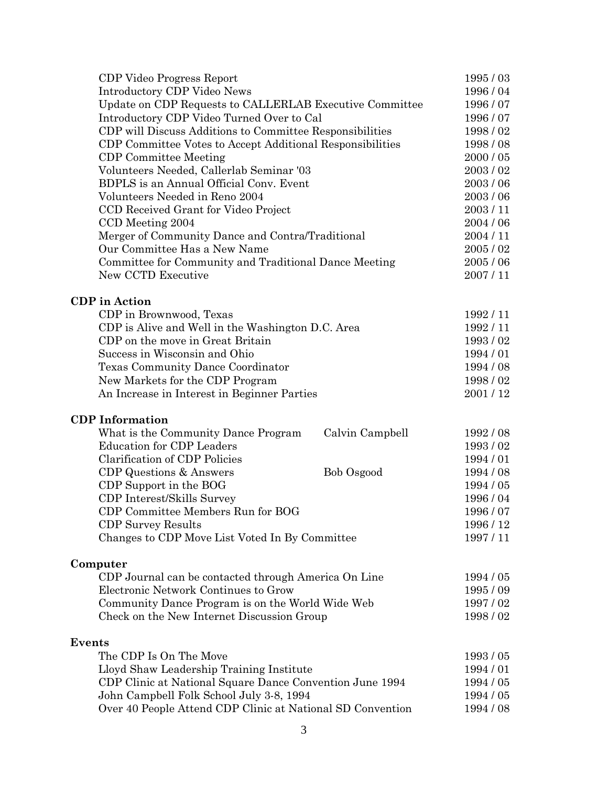| CDP Video Progress Report                                                    | 1995/03                |
|------------------------------------------------------------------------------|------------------------|
| <b>Introductory CDP Video News</b>                                           | 1996/04                |
| Update on CDP Requests to CALLERLAB Executive Committee                      | 1996/07                |
| Introductory CDP Video Turned Over to Cal                                    | 1996/07                |
| CDP will Discuss Additions to Committee Responsibilities                     | 1998/02                |
| CDP Committee Votes to Accept Additional Responsibilities                    | 1998/08                |
| <b>CDP</b> Committee Meeting                                                 | 2000 / 05              |
| Volunteers Needed, Callerlab Seminar '03                                     | 2003/02                |
| BDPLS is an Annual Official Conv. Event                                      | 2003/06                |
| Volunteers Needed in Reno 2004                                               | 2003/06                |
| CCD Received Grant for Video Project                                         | 2003/11                |
| CCD Meeting 2004                                                             | 2004 / 06              |
| Merger of Community Dance and Contra/Traditional                             | 2004/11                |
| Our Committee Has a New Name                                                 | 2005/02                |
| Committee for Community and Traditional Dance Meeting                        | 2005/06                |
| New CCTD Executive                                                           | 2007/11                |
|                                                                              |                        |
| <b>CDP</b> in Action                                                         |                        |
| CDP in Brownwood, Texas<br>CDP is Alive and Well in the Washington D.C. Area | 1992/11<br>1992/11     |
| CDP on the move in Great Britain                                             | 1993/02                |
| Success in Wisconsin and Ohio                                                | 1994/01                |
| Texas Community Dance Coordinator                                            | 1994 / 08              |
| New Markets for the CDP Program                                              | 1998/02                |
| An Increase in Interest in Beginner Parties                                  | 2001/12                |
|                                                                              |                        |
| <b>CDP</b> Information                                                       |                        |
| What is the Community Dance Program<br>Calvin Campbell                       | 1992 / 08              |
| <b>Education for CDP Leaders</b>                                             | 1993/02                |
| <b>Clarification of CDP Policies</b>                                         | 1994 / 01              |
| CDP Questions & Answers<br>Bob Osgood                                        | 1994 / 08              |
| CDP Support in the BOG                                                       | 1994 / 05              |
| CDP Interest/Skills Survey                                                   | 1996/04                |
| CDP Committee Members Run for BOG                                            | 1996/07                |
| <b>CDP Survey Results</b>                                                    | 1996 / 12              |
| Changes to CDP Move List Voted In By Committee                               | 1997/11                |
| Computer                                                                     |                        |
| CDP Journal can be contacted through America On Line                         | 1994 / 05              |
| Electronic Network Continues to Grow                                         | 1995/09                |
| Community Dance Program is on the World Wide Web                             | 1997/02                |
| Check on the New Internet Discussion Group                                   | 1998/02                |
|                                                                              |                        |
| <b>Events</b><br>The CDP Is On The Move                                      |                        |
|                                                                              | 1993/05<br>1994/01     |
| Lloyd Shaw Leadership Training Institute                                     | 1994 / 05              |
| CDP Clinic at National Square Dance Convention June 1994                     |                        |
| John Campbell Folk School July 3-8, 1994                                     | 1994 / 05<br>1994 / 08 |
| Over 40 People Attend CDP Clinic at National SD Convention                   |                        |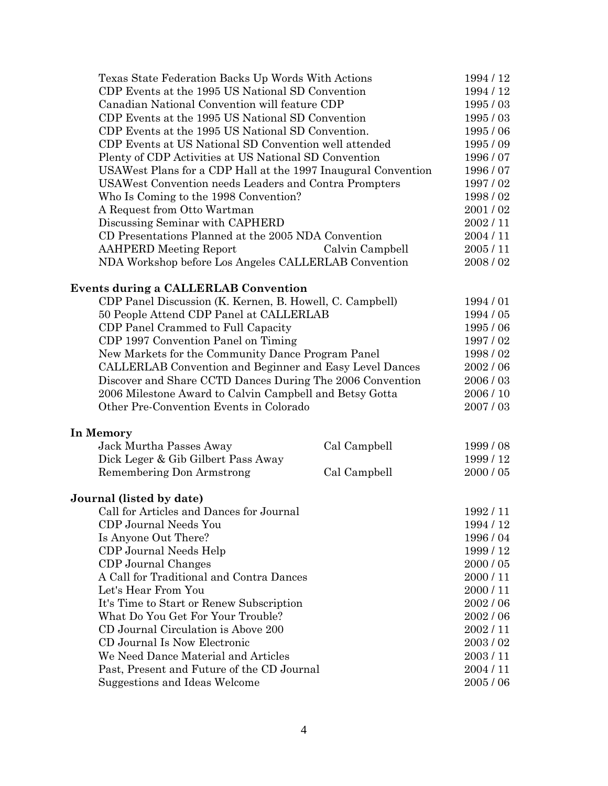| Texas State Federation Backs Up Words With Actions            |                 | 1994 / 12 |
|---------------------------------------------------------------|-----------------|-----------|
| CDP Events at the 1995 US National SD Convention              |                 | 1994 / 12 |
| Canadian National Convention will feature CDP                 |                 | 1995/03   |
| CDP Events at the 1995 US National SD Convention              |                 | 1995/03   |
| CDP Events at the 1995 US National SD Convention.             |                 | 1995/06   |
| CDP Events at US National SD Convention well attended         |                 | 1995/09   |
| Plenty of CDP Activities at US National SD Convention         |                 | 1996/07   |
| USAWest Plans for a CDP Hall at the 1997 Inaugural Convention |                 | 1996/07   |
| <b>USAWest Convention needs Leaders and Contra Prompters</b>  |                 | 1997/02   |
| Who Is Coming to the 1998 Convention?                         |                 | 1998/02   |
| A Request from Otto Wartman                                   |                 | 2001/02   |
| Discussing Seminar with CAPHERD                               |                 | 2002/11   |
| CD Presentations Planned at the 2005 NDA Convention           |                 | 2004/11   |
| <b>AAHPERD</b> Meeting Report                                 | Calvin Campbell | 2005/11   |
| NDA Workshop before Los Angeles CALLERLAB Convention          |                 | 2008/02   |
| Events during a CALLERLAB Convention                          |                 |           |
| CDP Panel Discussion (K. Kernen, B. Howell, C. Campbell)      |                 | 1994/01   |
| 50 People Attend CDP Panel at CALLERLAB                       |                 | 1994 / 05 |
| CDP Panel Crammed to Full Capacity                            |                 | 1995/06   |
| CDP 1997 Convention Panel on Timing                           |                 | 1997/02   |
| New Markets for the Community Dance Program Panel             |                 | 1998/02   |
| CALLERLAB Convention and Beginner and Easy Level Dances       |                 | 2002/06   |
| Discover and Share CCTD Dances During The 2006 Convention     |                 | 2006/03   |
| 2006 Milestone Award to Calvin Campbell and Betsy Gotta       |                 | 2006 / 10 |
| Other Pre-Convention Events in Colorado                       |                 | 2007/03   |
| In Memory                                                     |                 |           |
| Jack Murtha Passes Away                                       | Cal Campbell    | 1999/08   |
| Dick Leger & Gib Gilbert Pass Away                            |                 | 1999/12   |
| Remembering Don Armstrong                                     | Cal Campbell    | 2000 / 05 |
| Journal (listed by date)                                      |                 |           |
| Call for Articles and Dances for Journal                      |                 | 1992/11   |
| CDP Journal Needs You                                         |                 | 1994 / 12 |
| Is Anyone Out There?                                          |                 | 1996/04   |
| CDP Journal Needs Help                                        |                 | 1999 / 12 |
| CDP Journal Changes                                           |                 | 2000 / 05 |
| A Call for Traditional and Contra Dances                      |                 | 2000 / 11 |
| Let's Hear From You                                           |                 | 2000/11   |
| It's Time to Start or Renew Subscription                      |                 | 2002/06   |
| What Do You Get For Your Trouble?                             |                 | 2002 / 06 |
| CD Journal Circulation is Above 200                           |                 | 2002/11   |
| CD Journal Is Now Electronic                                  |                 | 2003/02   |
| We Need Dance Material and Articles                           |                 | 2003/11   |
| Past, Present and Future of the CD Journal                    |                 | 2004 / 11 |
| Suggestions and Ideas Welcome                                 |                 | 2005/06   |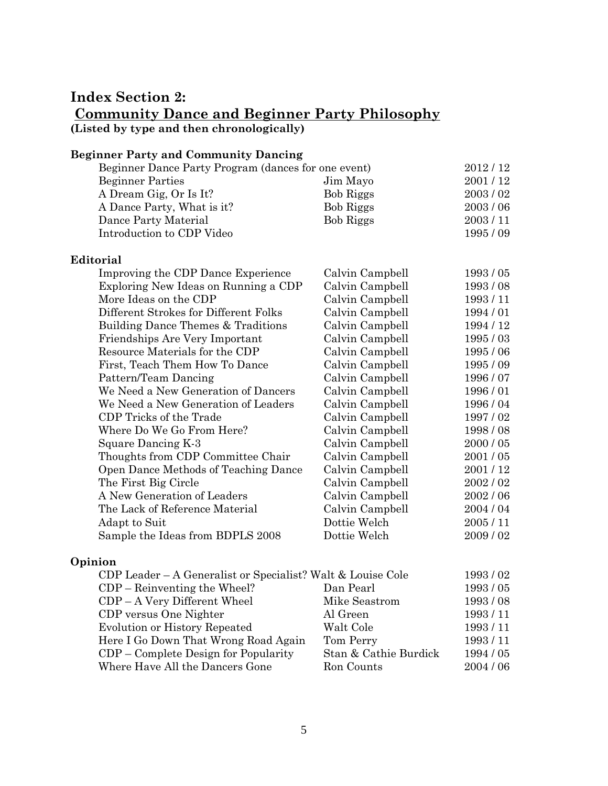## **Index Section 2: Community Dance and Beginner Party Philosophy (Listed by type and then chronologically)**

**Beginner Party and Community Dancing**

| Beginner Party and Community Dancing                |                  |           |
|-----------------------------------------------------|------------------|-----------|
| Beginner Dance Party Program (dances for one event) |                  | 2012/12   |
| <b>Beginner Parties</b>                             | Jim Mayo         | 2001/12   |
| A Dream Gig, Or Is It?                              | Bob Riggs        | 2003/02   |
| A Dance Party, What is it?                          | <b>Bob Riggs</b> | 2003/06   |
| Dance Party Material                                | <b>Bob Riggs</b> | 2003/11   |
| Introduction to CDP Video                           |                  | 1995/09   |
| Editorial                                           |                  |           |
| Improving the CDP Dance Experience                  | Calvin Campbell  | 1993/05   |
| Exploring New Ideas on Running a CDP                | Calvin Campbell  | 1993/08   |
| More Ideas on the CDP                               | Calvin Campbell  | 1993/11   |
| Different Strokes for Different Folks               | Calvin Campbell  | 1994/01   |
| Building Dance Themes & Traditions                  | Calvin Campbell  | 1994 / 12 |
| Friendships Are Very Important                      | Calvin Campbell  | 1995/03   |
| Resource Materials for the CDP                      | Calvin Campbell  | 1995/06   |
| First, Teach Them How To Dance                      | Calvin Campbell  | 1995/09   |
| Pattern/Team Dancing                                | Calvin Campbell  | 1996/07   |
| We Need a New Generation of Dancers                 | Calvin Campbell  | 1996/01   |
| We Need a New Generation of Leaders                 | Calvin Campbell  | 1996/04   |
| CDP Tricks of the Trade                             | Calvin Campbell  | 1997/02   |
| Where Do We Go From Here?                           | Calvin Campbell  | 1998/08   |
| Square Dancing K-3                                  | Calvin Campbell  | 2000 / 05 |
| Thoughts from CDP Committee Chair                   | Calvin Campbell  | 2001/05   |
| Open Dance Methods of Teaching Dance                | Calvin Campbell  | 2001/12   |
| The First Big Circle                                | Calvin Campbell  | 2002/02   |
| A New Generation of Leaders                         | Calvin Campbell  | 2002/06   |
| The Lack of Reference Material                      | Calvin Campbell  | 2004 / 04 |
| Adapt to Suit                                       | Dottie Welch     | 2005/11   |
| Sample the Ideas from BDPLS 2008                    | Dottie Welch     | 2009/02   |

#### **Opinion**

| CDP Leader – A Generalist or Specialist? Walt & Louise Cole |                       | 1993/02   |
|-------------------------------------------------------------|-----------------------|-----------|
| $CDP - Reinverting the Wheeler?$                            | Dan Pearl             | 1993/05   |
| CDP - A Very Different Wheel                                | Mike Seastrom         | 1993/08   |
| CDP versus One Nighter                                      | Al Green              | 1993/11   |
| <b>Evolution or History Repeated</b>                        | Walt Cole             | 1993/11   |
| Here I Go Down That Wrong Road Again                        | Tom Perry             | 1993/11   |
| $CDP$ – Complete Design for Popularity                      | Stan & Cathie Burdick | 1994 / 05 |
| Where Have All the Dancers Gone                             | Ron Counts            | 2004 / 06 |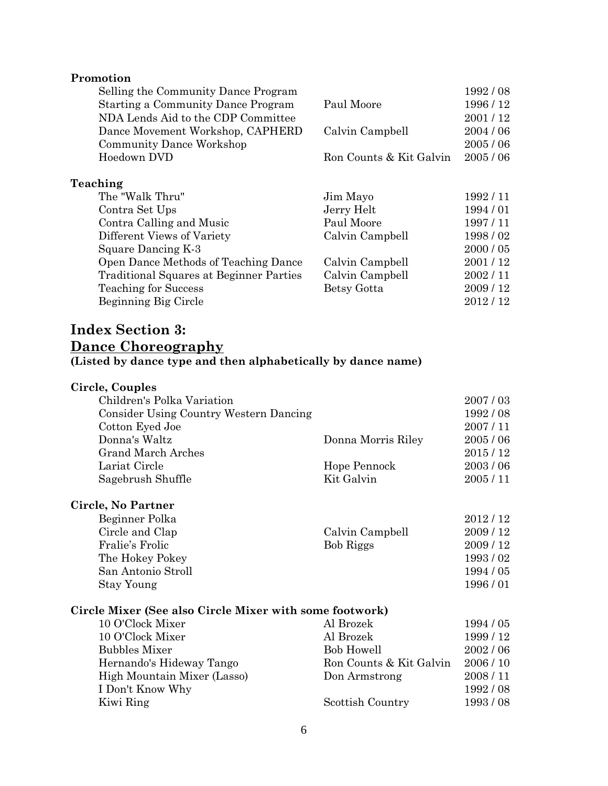#### **Promotion**

| Selling the Community Dance Program            |                         | 1992/08   |
|------------------------------------------------|-------------------------|-----------|
| <b>Starting a Community Dance Program</b>      | Paul Moore              | 1996 / 12 |
| NDA Lends Aid to the CDP Committee             |                         | 2001/12   |
| Dance Movement Workshop, CAPHERD               | Calvin Campbell         | 2004/06   |
| <b>Community Dance Workshop</b>                |                         | 2005/06   |
| Hoedown DVD                                    | Ron Counts & Kit Galvin | 2005/06   |
| Teaching                                       |                         |           |
| The "Walk Thru"                                | Jim Mayo                | 1992/11   |
| Contra Set Ups                                 | Jerry Helt              | 1994/01   |
| Contra Calling and Music                       | Paul Moore              | 1997/11   |
| Different Views of Variety                     | Calvin Campbell         | 1998/02   |
| Square Dancing K-3                             |                         | 2000 / 05 |
| Open Dance Methods of Teaching Dance           | Calvin Campbell         | 2001/12   |
| <b>Traditional Squares at Beginner Parties</b> | Calvin Campbell         | 2002/11   |
| <b>Teaching for Success</b>                    | Betsy Gotta             | 2009/12   |
| Beginning Big Circle                           |                         | 2012/12   |

### **Index Section 3: Dance Choreography (Listed by dance type and then alphabetically by dance name)**

| Circle, Couples                               |                    |         |
|-----------------------------------------------|--------------------|---------|
| Children's Polka Variation                    |                    | 2007/03 |
| <b>Consider Using Country Western Dancing</b> |                    | 1992/08 |
| Cotton Eyed Joe                               |                    | 2007/11 |
| Donna's Waltz                                 | Donna Morris Riley | 2005/06 |
| <b>Grand March Arches</b>                     |                    | 2015/12 |
| Lariat Circle                                 | Hope Pennock       | 2003/06 |
| Sagebrush Shuffle                             | Kit Galvin         | 2005/11 |
|                                               |                    |         |

#### **Circle, No Partner** Beginner Polka 2012 / 12 Circle and Clap Calvin Campbell 2009/12 Fralie's Frolic Bob Riggs 2009 / 12 The Hokey Pokey 2022 1993 / 02 San Antonio Stroll 1994 / 05

# Stay Young 1996 / 01 **Circle Mixer (See also Circle Mixer with some footwork)**

| 10 O'Clock Mixer            | Al Brozek               | 1994 / 05 |
|-----------------------------|-------------------------|-----------|
| 10 O'Clock Mixer            | Al Brozek               | 1999/12   |
| <b>Bubbles Mixer</b>        | <b>Bob Howell</b>       | 2002/06   |
| Hernando's Hideway Tango    | Ron Counts & Kit Galvin | 2006/10   |
| High Mountain Mixer (Lasso) | Don Armstrong           | 2008/11   |
| I Don't Know Why            |                         | 1992/08   |
| Kiwi Ring                   | Scottish Country        | 1993/08   |
|                             |                         |           |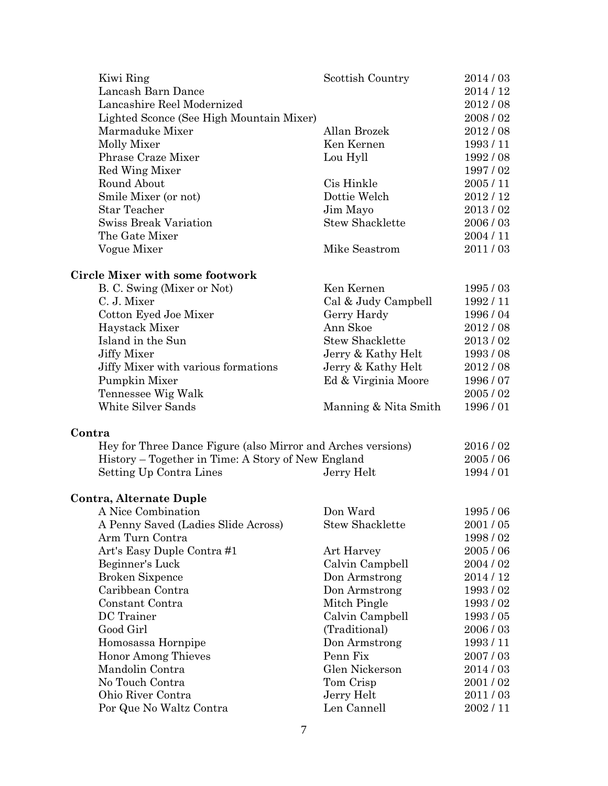| Kiwi Ring                                                    | Scottish Country       | 2014/03   |
|--------------------------------------------------------------|------------------------|-----------|
| Lancash Barn Dance                                           |                        | 2014/12   |
| Lancashire Reel Modernized                                   |                        | 2012/08   |
| Lighted Sconce (See High Mountain Mixer)                     |                        | 2008/02   |
| Marmaduke Mixer                                              | Allan Brozek           | 2012/08   |
| Molly Mixer                                                  | Ken Kernen             | 1993/11   |
| Phrase Craze Mixer                                           | Lou Hyll               | 1992/08   |
| Red Wing Mixer                                               |                        | 1997/02   |
| Round About                                                  | Cis Hinkle             | 2005/11   |
| Smile Mixer (or not)                                         | Dottie Welch           | 2012/12   |
| <b>Star Teacher</b>                                          | Jim Mayo               | 2013/02   |
| <b>Swiss Break Variation</b>                                 | <b>Stew Shacklette</b> | 2006/03   |
| The Gate Mixer                                               |                        | 2004/11   |
| Vogue Mixer                                                  | Mike Seastrom          | 2011/03   |
|                                                              |                        |           |
| Circle Mixer with some footwork                              |                        |           |
| B. C. Swing (Mixer or Not)                                   | Ken Kernen             | 1995/03   |
| C. J. Mixer                                                  | Cal & Judy Campbell    | 1992/11   |
| Cotton Eyed Joe Mixer                                        | Gerry Hardy            | 1996 / 04 |
| Haystack Mixer                                               | Ann Skoe               | 2012/08   |
| Island in the Sun                                            | <b>Stew Shacklette</b> | 2013/02   |
| <b>Jiffy Mixer</b>                                           | Jerry & Kathy Helt     | 1993/08   |
| Jiffy Mixer with various formations                          | Jerry & Kathy Helt     | 2012/08   |
| Pumpkin Mixer                                                | Ed & Virginia Moore    | 1996/07   |
| Tennessee Wig Walk                                           |                        | 2005/02   |
| White Silver Sands                                           | Manning & Nita Smith   | 1996/01   |
| Contra                                                       |                        |           |
| Hey for Three Dance Figure (also Mirror and Arches versions) |                        | 2016/02   |
| History – Together in Time: A Story of New England           |                        | 2005/06   |
| Setting Up Contra Lines                                      | Jerry Helt             | 1994/01   |
| <b>Contra, Alternate Duple</b>                               |                        |           |
| A Nice Combination                                           | Don Ward               | 1995/06   |
| A Penny Saved (Ladies Slide Across)                          | <b>Stew Shacklette</b> | 2001/05   |
| Arm Turn Contra                                              |                        | 1998/02   |
|                                                              |                        |           |
| Art's Easy Duple Contra#1                                    | Art Harvey             | 2005/06   |
| Beginner's Luck                                              | Calvin Campbell        | 2004 / 02 |
| <b>Broken Sixpence</b>                                       | Don Armstrong          | 2014 / 12 |
| Caribbean Contra                                             | Don Armstrong          | 1993/02   |
| Constant Contra                                              | Mitch Pingle           | 1993/02   |
| DC Trainer                                                   | Calvin Campbell        | 1993/05   |
| Good Girl                                                    | (Traditional)          | 2006/03   |
| Homosassa Hornpipe                                           | Don Armstrong          | 1993/11   |
| <b>Honor Among Thieves</b>                                   | Penn Fix               | 2007/03   |
| Mandolin Contra                                              | Glen Nickerson         | 2014/03   |
| No Touch Contra                                              | Tom Crisp              | 2001/02   |
| Ohio River Contra                                            | Jerry Helt             | 2011/03   |
| Por Que No Waltz Contra                                      | Len Cannell            | 2002/11   |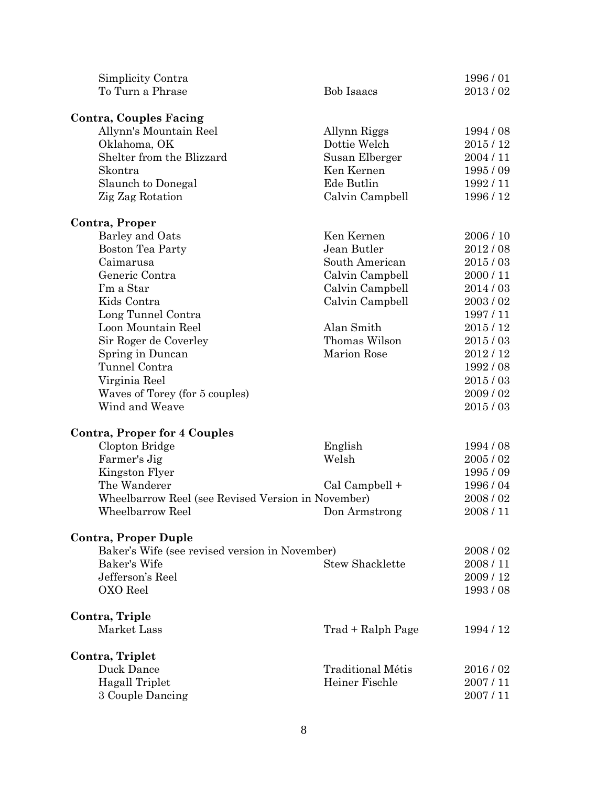| Simplicity Contra                                  |                          | 1996/01   |
|----------------------------------------------------|--------------------------|-----------|
| To Turn a Phrase                                   | <b>Bob Isaacs</b>        | 2013/02   |
| <b>Contra, Couples Facing</b>                      |                          |           |
| Allynn's Mountain Reel                             | Allynn Riggs             | 1994 / 08 |
| Oklahoma, OK                                       | Dottie Welch             | 2015/12   |
| Shelter from the Blizzard                          | Susan Elberger           | 2004/11   |
| Skontra                                            | Ken Kernen               | 1995 / 09 |
| Slaunch to Donegal                                 | Ede Butlin               | 1992/11   |
| Zig Zag Rotation                                   | Calvin Campbell          | 1996 / 12 |
| Contra, Proper                                     |                          |           |
| Barley and Oats                                    | Ken Kernen               | 2006/10   |
| Boston Tea Party                                   | Jean Butler              | 2012/08   |
| Caimarusa                                          | South American           | 2015/03   |
| Generic Contra                                     | Calvin Campbell          | 2000/11   |
| I'm a Star                                         | Calvin Campbell          | 2014/03   |
| Kids Contra                                        | Calvin Campbell          | 2003/02   |
| Long Tunnel Contra                                 |                          | 1997/11   |
| Loon Mountain Reel                                 | Alan Smith               | 2015/12   |
| Sir Roger de Coverley                              | Thomas Wilson            | 2015/03   |
| Spring in Duncan                                   | <b>Marion Rose</b>       | 2012/12   |
| Tunnel Contra                                      |                          | 1992 / 08 |
| Virginia Reel                                      |                          | 2015/03   |
| Waves of Torey (for 5 couples)                     |                          | 2009/02   |
| Wind and Weave                                     |                          | 2015/03   |
| <b>Contra, Proper for 4 Couples</b>                |                          |           |
| Clopton Bridge                                     | English                  | 1994 / 08 |
| Farmer's Jig                                       | Welsh                    | 2005/02   |
| Kingston Flyer                                     |                          | 1995/09   |
| The Wanderer                                       | Cal Campbell +           | 1996/04   |
| Wheelbarrow Reel (see Revised Version in November) |                          | 2008/02   |
| Wheelbarrow Reel                                   | Don Armstrong            | 2008/11   |
| <b>Contra, Proper Duple</b>                        |                          |           |
| Baker's Wife (see revised version in November)     |                          | 2008/02   |
| Baker's Wife                                       | <b>Stew Shacklette</b>   | 2008/11   |
| Jefferson's Reel                                   |                          | 2009/12   |
| OXO Reel                                           |                          | 1993/08   |
| Contra, Triple                                     |                          |           |
| Market Lass                                        | Trad + Ralph Page        | 1994 / 12 |
| Contra, Triplet                                    |                          |           |
| Duck Dance                                         | <b>Traditional Métis</b> | 2016/02   |
| <b>Hagall Triplet</b>                              | Heiner Fischle           | 2007/11   |
| 3 Couple Dancing                                   |                          | 2007/11   |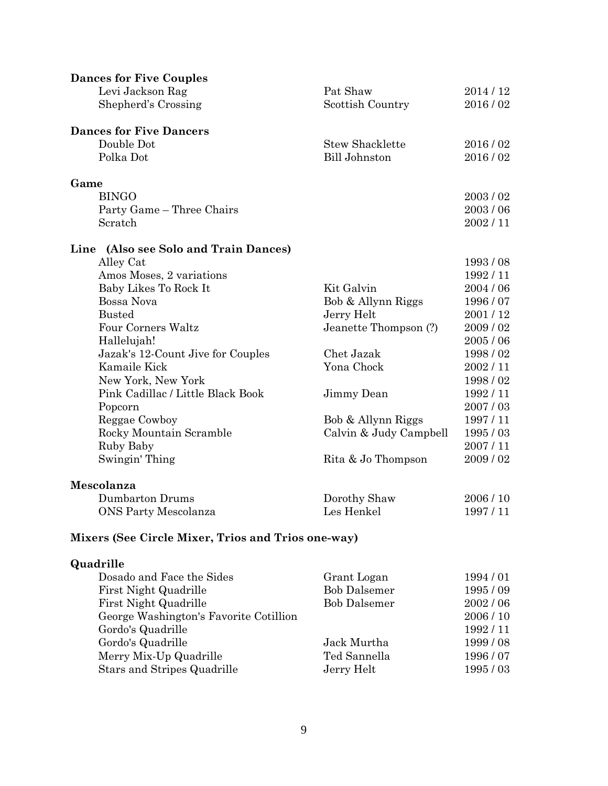| <b>Dances for Five Couples</b>        |                        |           |
|---------------------------------------|------------------------|-----------|
| Levi Jackson Rag                      | Pat Shaw               | 2014/12   |
| Shepherd's Crossing                   | Scottish Country       | 2016/02   |
| <b>Dances for Five Dancers</b>        |                        |           |
| Double Dot                            | <b>Stew Shacklette</b> | 2016/02   |
| Polka Dot                             | <b>Bill Johnston</b>   | 2016/02   |
| Game                                  |                        |           |
| <b>BINGO</b>                          |                        | 2003/02   |
| Party Game - Three Chairs             |                        | 2003/06   |
| Scratch                               |                        | 2002/11   |
| Line (Also see Solo and Train Dances) |                        |           |
| Alley Cat                             |                        | 1993/08   |
| Amos Moses, 2 variations              |                        | 1992/11   |
| Baby Likes To Rock It                 | Kit Galvin             | 2004 / 06 |
| Bossa Nova                            | Bob & Allynn Riggs     | 1996 / 07 |
| <b>Busted</b>                         | Jerry Helt             | 2001/12   |
| Four Corners Waltz                    | Jeanette Thompson (?)  | 2009/02   |
| Hallelujah!                           |                        | 2005/06   |
| Jazak's 12-Count Jive for Couples     | Chet Jazak             | 1998/02   |
| Kamaile Kick                          | Yona Chock             | 2002/11   |
| New York, New York                    |                        | 1998/02   |
| Pink Cadillac / Little Black Book     | Jimmy Dean             | 1992/11   |
| Popcorn                               |                        | 2007/03   |
| Reggae Cowboy                         | Bob & Allynn Riggs     | 1997/11   |
| Rocky Mountain Scramble               | Calvin & Judy Campbell | 1995/03   |
| Ruby Baby                             |                        | 2007/11   |
| Swingin' Thing                        | Rita & Jo Thompson     | 2009/02   |
| Mescolanza                            |                        |           |
| Dumbarton Drums                       | Dorothy Shaw           | 2006/10   |
| <b>ONS Party Mescolanza</b>           | Les Henkel             | 1997/11   |

# **Mixers (See Circle Mixer, Trios and Trios one-way)**

## **Quadrille**

| Dosado and Face the Sides              | Grant Logan         | 1994/01 |
|----------------------------------------|---------------------|---------|
| First Night Quadrille                  | <b>Bob Dalsemer</b> | 1995/09 |
| First Night Quadrille                  | <b>Bob Dalsemer</b> | 2002/06 |
| George Washington's Favorite Cotillion |                     | 2006/10 |
| Gordo's Quadrille                      |                     | 1992/11 |
| Gordo's Quadrille                      | Jack Murtha         | 1999/08 |
| Merry Mix-Up Quadrille                 | Ted Sannella        | 1996/07 |
| Stars and Stripes Quadrille            | Jerry Helt          | 1995/03 |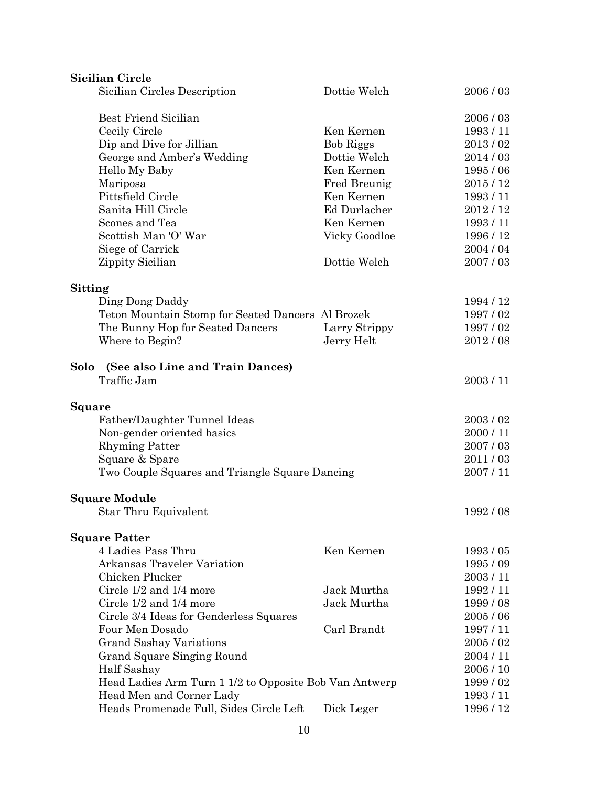| <b>Sicilian Circle</b>                                 |                  |           |
|--------------------------------------------------------|------------------|-----------|
| Sicilian Circles Description                           | Dottie Welch     | 2006/03   |
| <b>Best Friend Sicilian</b>                            |                  | 2006/03   |
| Cecily Circle                                          | Ken Kernen       | 1993/11   |
| Dip and Dive for Jillian                               | <b>Bob Riggs</b> | 2013/02   |
| George and Amber's Wedding                             | Dottie Welch     | 2014/03   |
| Hello My Baby                                          | Ken Kernen       | 1995/06   |
| Mariposa                                               | Fred Breunig     | 2015/12   |
| Pittsfield Circle                                      | Ken Kernen       | 1993/11   |
| Sanita Hill Circle                                     | Ed Durlacher     | 2012/12   |
| Scones and Tea                                         | Ken Kernen       | 1993/11   |
| Scottish Man 'O' War                                   | Vicky Goodloe    | 1996 / 12 |
| Siege of Carrick                                       |                  | 2004/04   |
| Zippity Sicilian                                       | Dottie Welch     | 2007/03   |
| <b>Sitting</b>                                         |                  |           |
| Ding Dong Daddy                                        |                  | 1994 / 12 |
| Teton Mountain Stomp for Seated Dancers Al Brozek      |                  | 1997/02   |
| The Bunny Hop for Seated Dancers                       | Larry Strippy    | 1997/02   |
| Where to Begin?                                        | Jerry Helt       | 2012/08   |
| (See also Line and Train Dances)<br>Solo               |                  |           |
| Traffic Jam                                            |                  | 2003/11   |
| Square                                                 |                  |           |
| Father/Daughter Tunnel Ideas                           |                  | 2003/02   |
| Non-gender oriented basics                             |                  | 2000/11   |
| <b>Rhyming Patter</b>                                  |                  | 2007/03   |
| Square & Spare                                         |                  | 2011/03   |
| Two Couple Squares and Triangle Square Dancing         |                  | 2007/11   |
| <b>Square Module</b>                                   |                  |           |
| Star Thru Equivalent                                   |                  | 1992/08   |
| <b>Square Patter</b>                                   |                  |           |
| 4 Ladies Pass Thru                                     | Ken Kernen       | 1993/05   |
| <b>Arkansas Traveler Variation</b>                     |                  | 1995/09   |
| Chicken Plucker                                        |                  | 2003/11   |
| Circle 1/2 and 1/4 more                                | Jack Murtha      | 1992/11   |
| Circle 1/2 and 1/4 more                                | Jack Murtha      | 1999/08   |
| Circle 3/4 Ideas for Genderless Squares                |                  | 2005/06   |
| Four Men Dosado                                        | Carl Brandt      | 1997/11   |
| <b>Grand Sashay Variations</b>                         |                  | 2005/02   |
| Grand Square Singing Round                             |                  | 2004/11   |
| Half Sashay                                            |                  | 2006 / 10 |
| Head Ladies Arm Turn 1 1/2 to Opposite Bob Van Antwerp |                  | 1999/02   |
| Head Men and Corner Lady                               |                  | 1993/11   |
| Heads Promenade Full, Sides Circle Left                | Dick Leger       | 1996 / 12 |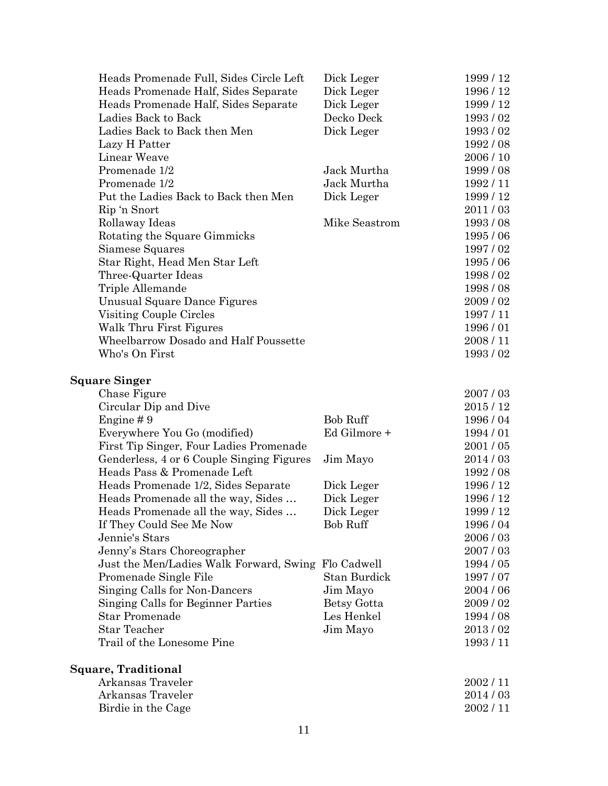| Heads Promenade Full, Sides Circle Left             | Dick Leger      | 1999 / 12 |
|-----------------------------------------------------|-----------------|-----------|
| Heads Promenade Half, Sides Separate                | Dick Leger      | 1996 / 12 |
| Heads Promenade Half, Sides Separate                | Dick Leger      | 1999 / 12 |
| Ladies Back to Back                                 | Decko Deck      | 1993/02   |
| Ladies Back to Back then Men                        | Dick Leger      | 1993/02   |
| Lazy H Patter                                       |                 | 1992/08   |
| Linear Weave                                        |                 | 2006 / 10 |
| Promenade 1/2                                       | Jack Murtha     | 1999/08   |
| Promenade 1/2                                       | Jack Murtha     | 1992/11   |
| Put the Ladies Back to Back then Men                | Dick Leger      | 1999 / 12 |
| Rip 'n Snort                                        |                 | 2011/03   |
| Rollaway Ideas                                      | Mike Seastrom   | 1993/08   |
| Rotating the Square Gimmicks                        |                 | 1995/06   |
| Siamese Squares                                     |                 | 1997/02   |
| Star Right, Head Men Star Left                      |                 | 1995 / 06 |
| Three-Quarter Ideas                                 |                 | 1998/02   |
| Triple Allemande                                    |                 | 1998/08   |
| Unusual Square Dance Figures                        |                 | 2009/02   |
| Visiting Couple Circles                             |                 | 1997/11   |
| Walk Thru First Figures                             |                 | 1996/01   |
| Wheelbarrow Dosado and Half Poussette               |                 | 2008/11   |
| Who's On First                                      |                 | 1993/02   |
| <b>Square Singer</b>                                |                 |           |
| Chase Figure                                        |                 | 2007/03   |
| Circular Dip and Dive                               |                 | 2015/12   |
| Engine $#9$                                         | <b>Bob Ruff</b> | 1996 / 04 |
| Everywhere You Go (modified)                        | Ed Gilmore +    | 1994/01   |
| First Tip Singer, Four Ladies Promenade             |                 | 2001/05   |
| Genderless, 4 or 6 Couple Singing Figures           | Jim Mayo        | 2014/03   |
| Heads Pass & Promenade Left                         |                 | 1992/08   |
| Heads Promenade 1/2, Sides Separate                 | Dick Leger      | 1996 / 12 |
| Heads Promenade all the way, Sides                  | Dick Leger      | 1996 / 12 |
| Heads Promenade all the way, Sides                  | Dick Leger      | 1999/12   |
| If They Could See Me Now                            | <b>Bob Ruff</b> | 1996/04   |
| Jennie's Stars                                      |                 | 2006/03   |
| Jenny's Stars Choreographer                         |                 | 2007/03   |
| Just the Men/Ladies Walk Forward, Swing Flo Cadwell |                 | 1994 / 05 |
| Promenade Single File                               | Stan Burdick    | 1997/07   |
| Singing Calls for Non-Dancers                       | Jim Mayo        | 2004 / 06 |
| Singing Calls for Beginner Parties                  | Betsy Gotta     | 2009/02   |
| <b>Star Promenade</b>                               | Les Henkel      | 1994 / 08 |
| <b>Star Teacher</b>                                 | Jim Mayo        | 2013/02   |
| Trail of the Lonesome Pine                          |                 | 1993/11   |
| Square, Traditional                                 |                 |           |
| Arkansas Traveler                                   |                 | 2002/11   |
| Arkansas Traveler                                   |                 | 2014/03   |
| Birdie in the Cage                                  |                 | 2002/11   |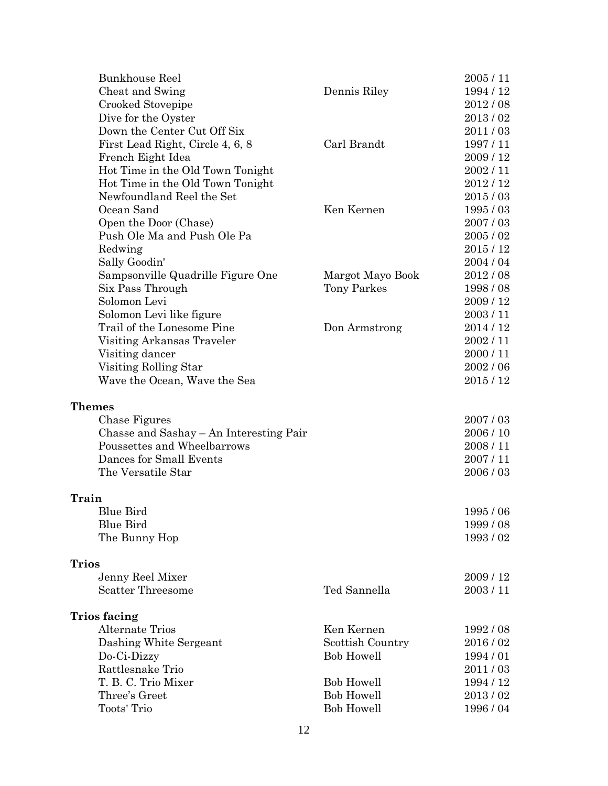| <b>Bunkhouse Reel</b>                   |                   | 2005/11   |
|-----------------------------------------|-------------------|-----------|
| Cheat and Swing                         | Dennis Riley      | 1994 / 12 |
| Crooked Stovepipe                       |                   | 2012/08   |
| Dive for the Oyster                     |                   | 2013/02   |
| Down the Center Cut Off Six             |                   | 2011/03   |
| First Lead Right, Circle 4, 6, 8        | Carl Brandt       | 1997/11   |
| French Eight Idea                       |                   | 2009/12   |
| Hot Time in the Old Town Tonight        |                   | 2002/11   |
| Hot Time in the Old Town Tonight        |                   | 2012/12   |
| Newfoundland Reel the Set               |                   | 2015/03   |
| Ocean Sand                              | Ken Kernen        | 1995/03   |
| Open the Door (Chase)                   |                   | 2007/03   |
| Push Ole Ma and Push Ole Pa             |                   | 2005/02   |
| Redwing                                 |                   | 2015/12   |
| Sally Goodin'                           |                   | 2004 / 04 |
| Sampsonville Quadrille Figure One       | Margot Mayo Book  | 2012/08   |
| Six Pass Through                        | Tony Parkes       | 1998/08   |
| Solomon Levi                            |                   | 2009/12   |
| Solomon Levi like figure                |                   | 2003/11   |
| Trail of the Lonesome Pine              | Don Armstrong     | 2014/12   |
| Visiting Arkansas Traveler              |                   | 2002/11   |
| Visiting dancer                         |                   | 2000/11   |
| Visiting Rolling Star                   |                   | 2002/06   |
| Wave the Ocean, Wave the Sea            |                   | 2015/12   |
| <b>Themes</b>                           |                   |           |
| Chase Figures                           |                   | 2007/03   |
| Chasse and Sashay – An Interesting Pair |                   | 2006 / 10 |
| Poussettes and Wheelbarrows             |                   | 2008/11   |
| Dances for Small Events                 |                   | 2007/11   |
| The Versatile Star                      |                   | 2006/03   |
| Train                                   |                   |           |
| <b>Blue Bird</b>                        |                   | 1995/06   |
| <b>Blue Bird</b>                        |                   | 1999 / 08 |
| The Bunny Hop                           |                   | 1993/02   |
| <b>Trios</b>                            |                   |           |
| Jenny Reel Mixer                        |                   | 2009/12   |
| <b>Scatter Threesome</b>                | Ted Sannella      | 2003/11   |
| <b>Trios facing</b>                     |                   |           |
| <b>Alternate Trios</b>                  | Ken Kernen        | 1992/08   |
| Dashing White Sergeant                  | Scottish Country  | 2016/02   |
| Do-Ci-Dizzy                             | <b>Bob Howell</b> | 1994/01   |
| Rattlesnake Trio                        |                   | 2011/03   |
| T. B. C. Trio Mixer                     | <b>Bob Howell</b> | 1994 / 12 |
| Three's Greet                           | <b>Bob Howell</b> | 2013/02   |
| Toots' Trio                             | <b>Bob Howell</b> | 1996/04   |